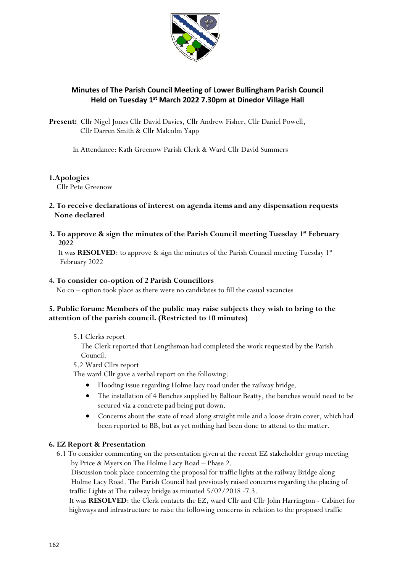

# **Minutes of The Parish Council Meeting of Lower Bullingham Parish Council Held on Tuesday 1 st March 2022 7.30pm at Dinedor Village Hall**

**Present:** Cllr Nigel Jones Cllr David Davies, Cllr Andrew Fisher, Cllr Daniel Powell, Cllr Darren Smith & Cllr Malcolm Yapp

In Attendance: Kath Greenow Parish Clerk & Ward Cllr David Summers

## **1.Apologies**

Cllr Pete Greenow

## **2. To receive declarations of interest on agenda items and any dispensation requests None declared**

**3. To approve & sign the minutes of the Parish Council meeting Tuesday 1 st February 2022** 

It was RESOLVED: to approve & sign the minutes of the Parish Council meeting Tuesday 1<sup>st</sup> February 2022

## **4. To consider co-option of 2 Parish Councillors**

No co – option took place as there were no candidates to fill the casual vacancies

# **5. Public forum: Members of the public may raise subjects they wish to bring to the attention of the parish council. (Restricted to 10 minutes)**

## 5.1 Clerks report

 The Clerk reported that Lengthsman had completed the work requested by the Parish Council.

5.2 Ward Cllrs report

The ward Cllr gave a verbal report on the following:

- Flooding issue regarding Holme lacy road under the railway bridge.
- The installation of 4 Benches supplied by Balfour Beatty, the benches would need to be secured via a concrete pad being put down.
- Concerns about the state of road along straight mile and a loose drain cover, which had been reported to BB, but as yet nothing had been done to attend to the matter.

## **6. EZ Report & Presentation**

 6.1 To consider commenting on the presentation given at the recent EZ stakeholder group meeting by Price & Myers on The Holme Lacy Road – Phase 2.

 Discussion took place concerning the proposal for traffic lights at the railway Bridge along Holme Lacy Road. The Parish Council had previously raised concerns regarding the placing of traffic Lights at The railway bridge as minuted 5/02/2018 -7.3.

 It was **RESOLVED**: the Clerk contacts the EZ, ward Cllr and Cllr John Harrington - Cabinet for highways and infrastructure to raise the following concerns in relation to the proposed traffic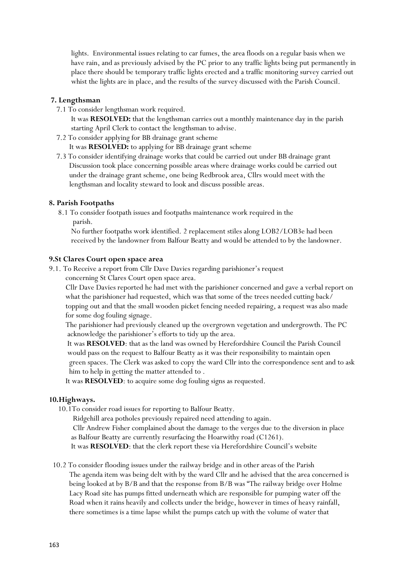lights. Environmental issues relating to car fumes, the area floods on a regular basis when we have rain, and as previously advised by the PC prior to any traffic lights being put permanently in place there should be temporary traffic lights erected and a traffic monitoring survey carried out whist the lights are in place, and the results of the survey discussed with the Parish Council.

## **7. Lengthsman**

7.1 To consider lengthsman work required.

 It was **RESOLVED:** that the lengthsman carries out a monthly maintenance day in the parish starting April Clerk to contact the lengthsman to advise.

7.2 To consider applying for BB drainage grant scheme

It was **RESOLVED:** to applying for BB drainage grant scheme

 7.3 To consider identifying drainage works that could be carried out under BB drainage grant Discussion took place concerning possible areas where drainage works could be carried out under the drainage grant scheme, one being Redbrook area, Cllrs would meet with the lengthsman and locality steward to look and discuss possible areas.

### **8. Parish Footpaths**

8.1 To consider footpath issues and footpaths maintenance work required in the parish.

 No further footpaths work identified. 2 replacement stiles along LOB2/LOB3e had been received by the landowner from Balfour Beatty and would be attended to by the landowner.

### **9.St Clares Court open space area**

9.1. To Receive a report from Cllr Dave Davies regarding parishioner's request concerning St Clares Court open space area.

 Cllr Dave Davies reported he had met with the parishioner concerned and gave a verbal report on what the parishioner had requested, which was that some of the trees needed cutting back/ topping out and that the small wooden picket fencing needed repairing, a request was also made for some dog fouling signage.

 The parishioner had previously cleaned up the overgrown vegetation and undergrowth. The PC acknowledge the parishioner's efforts to tidy up the area.

 It was **RESOLVED**: that as the land was owned by Herefordshire Council the Parish Council would pass on the request to Balfour Beatty as it was their responsibility to maintain open green spaces. The Clerk was asked to copy the ward Cllr into the correspondence sent and to ask him to help in getting the matter attended to .

It was **RESOLVED**: to acquire some dog fouling signs as requested.

### **10.Highways.**

10.1To consider road issues for reporting to Balfour Beatty.

Ridgehill area potholes previously repaired need attending to again.

 Cllr Andrew Fisher complained about the damage to the verges due to the diversion in place as Balfour Beatty are currently resurfacing the Hoarwithy road (C1261).

It was **RESOLVED**: that the clerk report these via Herefordshire Council's website

 10.2 To consider flooding issues under the railway bridge and in other areas of the Parish The agenda item was being delt with by the ward Cllr and he advised that the area concerned is being looked at by B/B and that the response from B/B was "The railway bridge over Holme Lacy Road site has pumps fitted underneath which are responsible for pumping water off the Road when it rains heavily and collects under the bridge, however in times of heavy rainfall, there sometimes is a time lapse whilst the pumps catch up with the volume of water that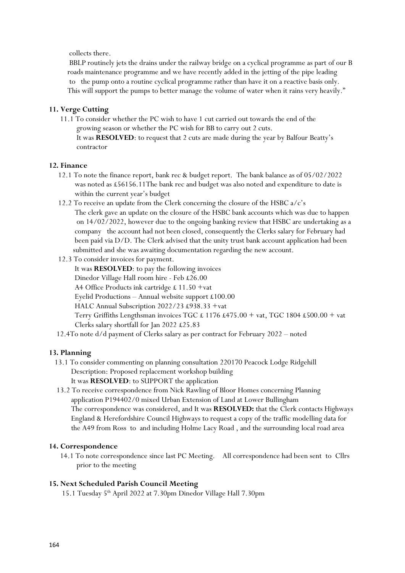collects there.

 BBLP routinely jets the drains under the railway bridge on a cyclical programme as part of our B roads maintenance programme and we have recently added in the jetting of the pipe leading to the pump onto a routine cyclical programme rather than have it on a reactive basis only. This will support the pumps to better manage the volume of water when it rains very heavily."

## **11. Verge Cutting**

 11.1 To consider whether the PC wish to have 1 cut carried out towards the end of the growing season or whether the PC wish for BB to carry out 2 cuts. It was **RESOLVED**: to request that 2 cuts are made during the year by Balfour Beatty's contractor

### **12. Finance**

- 12.1 To note the finance report, bank rec & budget report. The bank balance as of 05/02/2022 was noted as £56156.11The bank rec and budget was also noted and expenditure to date is within the current year's budget
- 12.2 To receive an update from the Clerk concerning the closure of the HSBC a/c's The clerk gave an update on the closure of the HSBC bank accounts which was due to happen on 14/02/2022, however due to the ongoing banking review that HSBC are undertaking as a company the account had not been closed, consequently the Clerks salary for February had been paid via D/D. The Clerk advised that the unity trust bank account application had been submitted and she was awaiting documentation regarding the new account.
- 12.3 To consider invoices for payment. It was **RESOLVED**: to pay the following invoices Dinedor Village Hall room hire - Feb £26.00 A4 Office Products ink cartridge £ 11.50 +vat Eyelid Productions – Annual website support £100.00 HALC Annual Subscription 2022/23 £938.33 +vat Terry Griffiths Lengthsman invoices TGC £ 1176 £475.00 + vat, TGC 1804 £500.00 + vat Clerks salary shortfall for Jan 2022 £25.83
- 12.4To note d/d payment of Clerks salary as per contract for February 2022 noted

### **13. Planning**

- 13.1 To consider commenting on planning consultation 220170 Peacock Lodge Ridgehill Description: Proposed replacement workshop building It was **RESOLVED**: to SUPPORT the application
- 13.2 To receive correspondence from Nick Rawling of Bloor Homes concerning Planning application P194402/0 mixed Urban Extension of Land at Lower Bullingham The correspondence was considered, and It was **RESOLVED:** that the Clerk contacts Highways England & Herefordshire Council Highways to request a copy of the traffic modelling data for the A49 from Ross to and including Holme Lacy Road , and the surrounding local road area

#### **14. Correspondence**

 14.1 To note correspondence since last PC Meeting. All correspondence had been sent to Cllrs prior to the meeting

#### **15. Next Scheduled Parish Council Meeting**

15.1 Tuesday 5 th April 2022 at 7.30pm Dinedor Village Hall 7.30pm